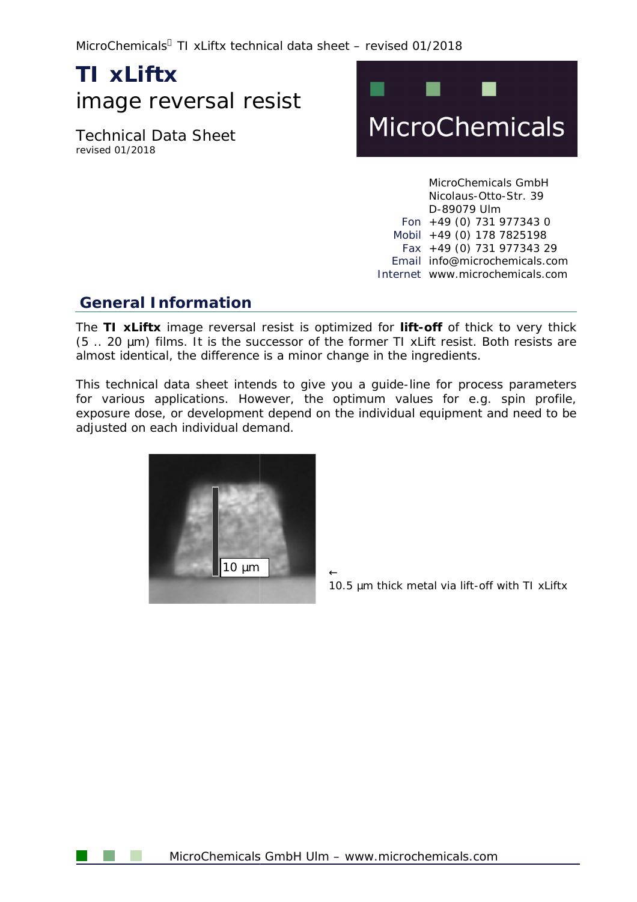MicroChemicals® TI xLiftx technical data sheet – revised 01/2018

# **TI xLiftx**  image reversal resist

Technical Data Sheet revised 01/2018



MicroChemicals GmbH MicroChemicals GmbH<br>Nicolaus-Otto-Str. 39 D-89079 Ulm Fon +49 (0) 731 977343 0 Mobil +49 (0) 178 7825198 obil +49 (0) 178 7825198<br>Fax +49 (0) 731 977343 29 Email info@microchemicals.com<br>:ernet [www.microchemicals.com](http://www.microchemicals.com) Internet www.microchemicals.com

### **General Information**

The TI xLiftx image reversal resist is optimized for lift-off of thick to very thick  $(5.. 20 \mu m)$  films. It is the successor of the former TI xLift resist. Both resists are almost identical, the difference is a minor change in the ingredients. (5 .. 20  $\mu$ m) films. It is the successor of the former TI xLift resist. Both resists are<br>almost identical, the difference is a minor change in the ingredients.<br>This technical data sheet intends to give you a guide-line

for various applications. However, the optimum values for e.g. spin profile, exposure dose, or development depend on the individual equipment and need to be adjusted on each individual demand.



 $\leftarrow$ *10.5 mm thick metal via lift-off with TI xLiftx*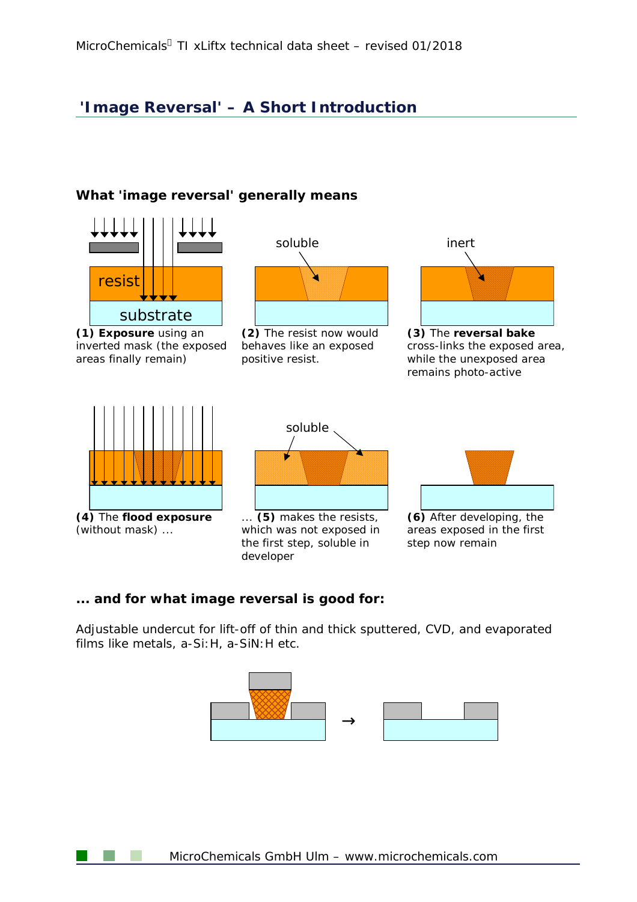# **'Image Reversal' – A Short Introduction**

### **What 'image reversal' generally means**



### **... and for what image reversal is good for:**

Adjustable undercut for lift-off of thin and thick sputtered, CVD, and evaporated films like metals, a-Si:H, a-SiN:H etc.



MicroChemicals GmbH Ulm – [www.microchemicals.com](http://www.microchemicals.com)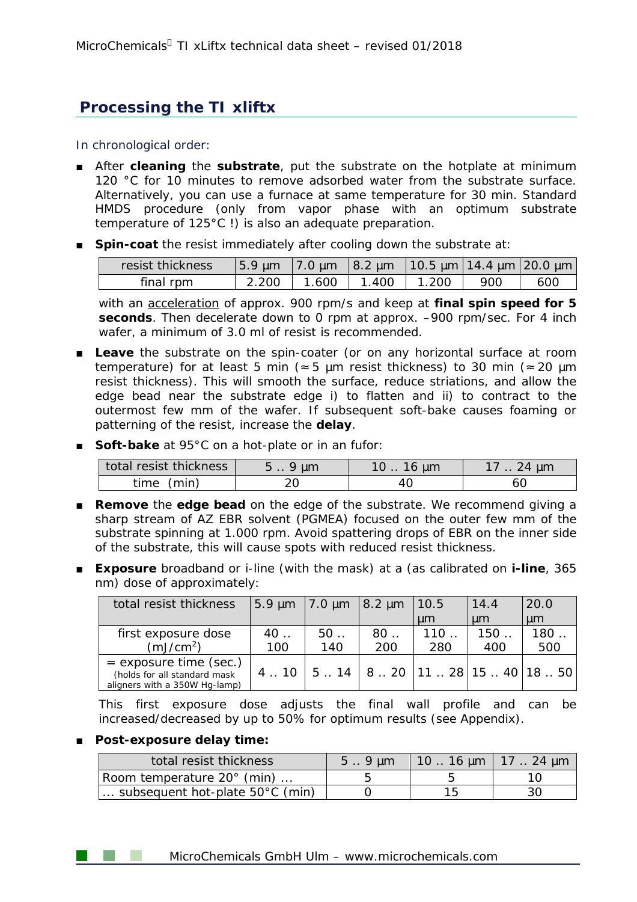# **Processing the TI xliftx**

### In chronological order:

- After cleaning the substrate, put the substrate on the hotplate at minimum 120 °C for 10 minutes to remove adsorbed water from the substrate surface. Alternatively, you can use a furnace at same temperature for 30 min. Standard HMDS procedure (only from vapor phase with an optimum substrate temperature of 125°C !) is also an adequate preparation.
- **Spin-coat** the resist immediately after cooling down the substrate at:

| resist thickness |       | $\frac{15.9 \text{ µm}}{2.0 \text{ µm}}$ $\frac{18.2 \text{ µm}}{20.5 \text{ µm}}$ 14.4 $\text{µm}$ 20.0 $\text{µm}$ |       |       |     |     |
|------------------|-------|----------------------------------------------------------------------------------------------------------------------|-------|-------|-----|-----|
| final rpm        | 2.200 | 1.600                                                                                                                | 1.400 | 1.200 | 900 | 600 |

with an acceleration of approx. 900 rpm/s and keep at **final spin speed for 5 seconds**. Then decelerate down to 0 rpm at approx. –900 rpm/sec. For 4 inch wafer, a minimum of 3.0 ml of resist is recommended.

- Leave the substrate on the spin-coater (or on any horizontal surface at room temperature) for at least 5 min ( $\approx$  5 µm resist thickness) to 30 min ( $\approx$  20 µm resist thickness). This will smooth the surface, reduce striations, and allow the edge bead near the substrate edge i) to flatten and ii) to contract to the outermost few mm of the wafer. If subsequent soft-bake causes foaming or patterning of the resist, increase the **delay**.
- **Soft-bake at 95°C on a hot-plate or in an fufor:**

| total resist thickness | $5.9 \mu m$ | 10 $\dots$ 16 $\mu$ m | 17 $\ldots$ 24 $\mu$ m |
|------------------------|-------------|-----------------------|------------------------|
| time (min)             | 20          | 40                    | 60                     |

- **Remove** the **edge bead** on the edge of the substrate. We recommend giving a sharp stream of AZ EBR solvent (PGMEA) focused on the outer few mm of the substrate spinning at 1.000 rpm. Avoid spattering drops of EBR on the inner side of the substrate, this will cause spots with reduced resist thickness.
- **Exposure** broadband or i-line (with the mask) at a (as calibrated on **i-line**, 365 nm) dose of approximately:

| total resist thickness                                                                    |     | 5.9 $\mu$ m 7.0 $\mu$ m 8.2 $\mu$ m |     | 10.5                                                                 | 14.4 | 20.0    |
|-------------------------------------------------------------------------------------------|-----|-------------------------------------|-----|----------------------------------------------------------------------|------|---------|
|                                                                                           |     |                                     |     | $\mu$ m                                                              | um   | $\mu$ m |
| first exposure dose                                                                       | 40  | $50$                                | 80  | 110                                                                  | 150  | 180     |
| (mJ/cm <sup>2</sup> )                                                                     | 100 | 140                                 | 200 | 280                                                                  | 400  | 500     |
| $=$ exposure time (sec.)<br>(holds for all standard mask<br>aligners with a 350W Hg-lamp) |     |                                     |     | 4 . 10 $\vert$ 5 . 14 $\vert$ 8 . 20 $\vert$ 11 . 28 15 . 40 18 . 50 |      |         |

This first exposure dose adjusts the final wall profile and can be increased/decreased by up to 50% for optimum results (see Appendix).

### ■ **Post-exposure delay time:**

| total resist thickness                    | $5.9 \text{µm}$ | $1016 \mu m$   17  24 $\mu m$ |  |
|-------------------------------------------|-----------------|-------------------------------|--|
| Room temperature 20° (min)                |                 |                               |  |
| subsequent hot-plate $50^{\circ}$ C (min) |                 |                               |  |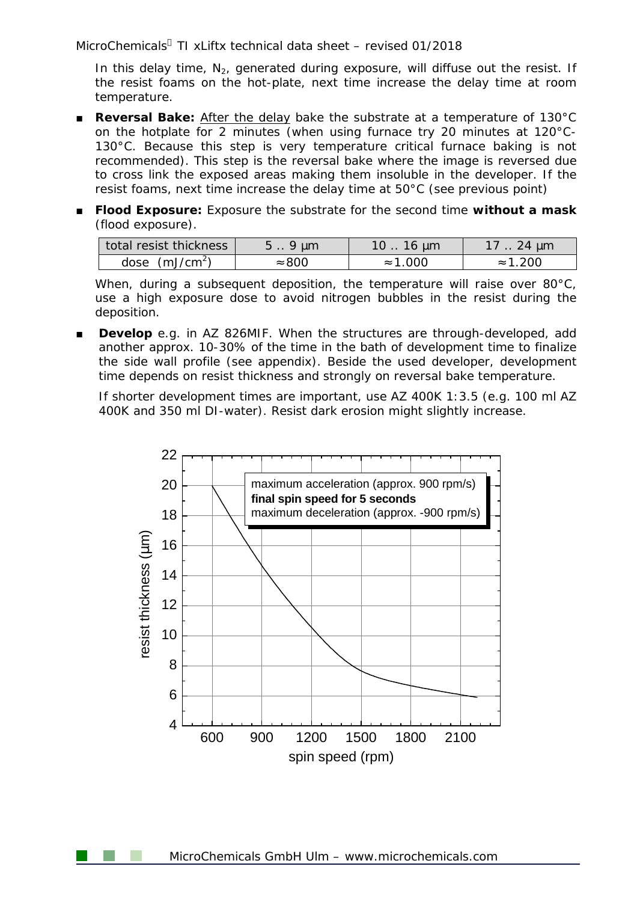MicroChemicals  $T$ I xLiftx technical data sheet – revised 01/2018

In this delay time,  $N_2$ , generated during exposure, will diffuse out the resist. If the resist foams on the hot-plate, next time increase the delay time at room temperature.

- **Reversal Bake:** After the delay bake the substrate at a temperature of 130°C on the hotplate for 2 minutes (when using furnace try 20 minutes at 120°C-130°C. Because this step is very temperature critical furnace baking is not recommended). This step is the reversal bake where the image is reversed due to cross link the exposed areas making them insoluble in the developer. If the resist foams, next time increase the delay time at 50°C (see previous point)
- **Flood Exposure:** Exposure the substrate for the second time **without a mask**  (flood exposure).

| total resist thickness | $5.9 \mu m$   | 10 $\dots$ 16 $\mu$ m | 17 $\dots$ 24 $\mu$ m |
|------------------------|---------------|-----------------------|-----------------------|
| dose $(mJ/cm2)$        | $\approx 800$ | $\approx$ 1.000       | $\approx 1.200$       |

When, during a subsequent deposition, the temperature will raise over 80°C, use a high exposure dose to avoid nitrogen bubbles in the resist during the deposition.

Develop e.g. in AZ 826MIF. When the structures are through-developed, add another approx. 10-30% of the time in the bath of development time to finalize the side wall profile (see appendix). Beside the used developer, development time depends on resist thickness and strongly on reversal bake temperature.

If shorter development times are important, use AZ 400K 1:3.5 (e.g. 100 ml AZ 400K and 350 ml DI-water). Resist dark erosion might slightly increase.

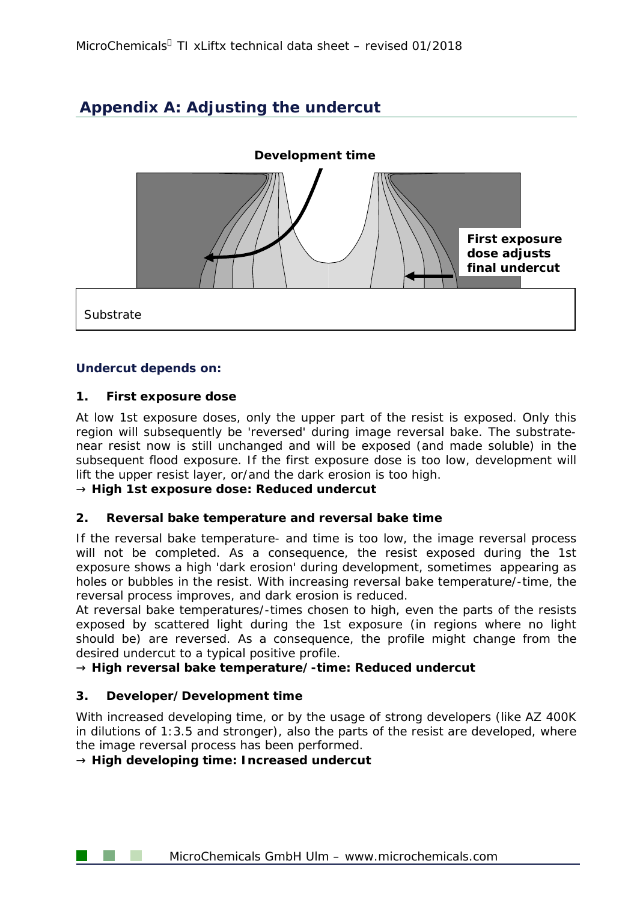# **Appendix A: Adjusting the undercut**



### **Undercut depends on:**

### **1. First exposure dose**

At low 1st exposure doses, only the upper part of the resist is exposed. Only this region will subsequently be 'reversed' during image reversal bake. The substratenear resist now is still unchanged and will be exposed (and made soluble) in the subsequent flood exposure. If the first exposure dose is too low, development will lift the upper resist layer, or/and the dark erosion is too high.

**® High 1st exposure dose: Reduced undercut**

### **2. Reversal bake temperature and reversal bake time**

If the reversal bake temperature- and time is too low, the image reversal process will not be completed. As a consequence, the resist exposed during the 1st exposure shows a high 'dark erosion' during development, sometimes appearing as holes or bubbles in the resist. With increasing reversal bake temperature/-time, the reversal process improves, and dark erosion is reduced.

At reversal bake temperatures/-times chosen to high, even the parts of the resists exposed by scattered light during the 1st exposure (in regions where no light should be) are reversed. As a consequence, the profile might change from the desired undercut to a typical positive profile.

**® High reversal bake temperature/-time: Reduced undercut** 

### **3. Developer/Development time**

With increased developing time, or by the usage of strong developers (like AZ 400K in dilutions of 1:3.5 and stronger), also the parts of the resist are developed, where the image reversal process has been performed.

**® High developing time: Increased undercut**